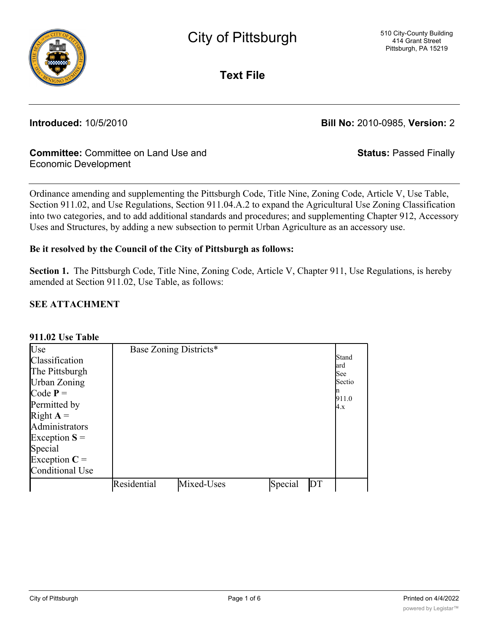

**Text File**

**Introduced:** 10/5/2010 **Bill No:** 2010-0985, **Version:** 2

**Status:** Passed Finally

### **Committee:** Committee on Land Use and Economic Development

Ordinance amending and supplementing the Pittsburgh Code, Title Nine, Zoning Code, Article V, Use Table, Section 911.02, and Use Regulations, Section 911.04.A.2 to expand the Agricultural Use Zoning Classification into two categories, and to add additional standards and procedures; and supplementing Chapter 912, Accessory Uses and Structures, by adding a new subsection to permit Urban Agriculture as an accessory use.

### **Be it resolved by the Council of the City of Pittsburgh as follows:**

**Section 1.** The Pittsburgh Code, Title Nine, Zoning Code, Article V, Chapter 911, Use Regulations, is hereby amended at Section 911.02, Use Table, as follows:

### **SEE ATTACHMENT**

| 711.VZ USV TAVIV      |             |                        |         |               |
|-----------------------|-------------|------------------------|---------|---------------|
| Use                   |             | Base Zoning Districts* |         |               |
| <b>Classification</b> |             |                        |         | Stand<br>lard |
| The Pittsburgh        |             |                        |         | See           |
| <b>Urban Zoning</b>   |             |                        |         | Sectio        |
| Code $P =$            |             |                        |         | m<br>911.0    |
| Permitted by          |             |                        |         | 4.x           |
| Right $A =$           |             |                        |         |               |
| Administrators        |             |                        |         |               |
| Exception $S =$       |             |                        |         |               |
| Special               |             |                        |         |               |
| Exception $C =$       |             |                        |         |               |
| Conditional Use       |             |                        |         |               |
|                       | Residential | Mixed-Uses             | Special | DT            |
|                       |             |                        |         |               |

### **911.02 Use Table**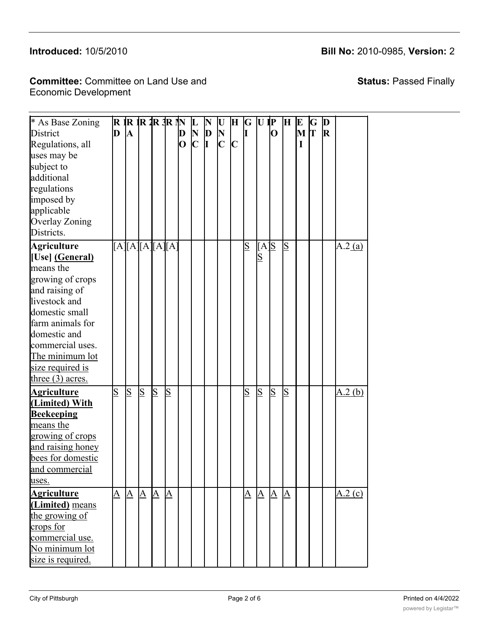# Introduced: 10/5/2010

Permitted by

# **Introduced:** 10/5/2010 **Bill No:** 2010-0985, **Version:** 2

 $\frac{1}{\sqrt{2}}$ 

### **Committee:** Committee on Land Use and Economic Development Special Committee: **(**

# **Status:** Passed Finally

| * As Base Zoning   |           |                         | R <b>IR IR 2R 3R IN</b> L |                    |                    |   |              | $\mathbf N$ | $\mathbf{U}$ |              | H G U P                 |                         |                         | $\mathbf{H}$ | E G                      | $\bf{D}$                 |        |
|--------------------|-----------|-------------------------|---------------------------|--------------------|--------------------|---|--------------|-------------|--------------|--------------|-------------------------|-------------------------|-------------------------|--------------|--------------------------|--------------------------|--------|
| District           | D.        | $\mathbf{A}$            |                           |                    |                    | D | $\mathbf N$  | D           | $\mathbf N$  |              | I                       |                         | 0                       |              | $\mathbf{M} \mathbf{T} $ | $\vert \mathbf{R} \vert$ |        |
| Regulations, all   |           |                         |                           |                    |                    | 0 | $\mathbf{C}$ | I           | $\mathbf C$  | $\mathbf{C}$ |                         |                         |                         |              | I                        |                          |        |
| uses may be        |           |                         |                           |                    |                    |   |              |             |              |              |                         |                         |                         |              |                          |                          |        |
| subject to         |           |                         |                           |                    |                    |   |              |             |              |              |                         |                         |                         |              |                          |                          |        |
| additional         |           |                         |                           |                    |                    |   |              |             |              |              |                         |                         |                         |              |                          |                          |        |
| regulations        |           |                         |                           |                    |                    |   |              |             |              |              |                         |                         |                         |              |                          |                          |        |
| imposed by         |           |                         |                           |                    |                    |   |              |             |              |              |                         |                         |                         |              |                          |                          |        |
| applicable         |           |                         |                           |                    |                    |   |              |             |              |              |                         |                         |                         |              |                          |                          |        |
| Overlay Zoning     |           |                         |                           |                    |                    |   |              |             |              |              |                         |                         |                         |              |                          |                          |        |
| Districts.         |           |                         |                           |                    |                    |   |              |             |              |              |                         |                         |                         |              |                          |                          |        |
| <b>Agriculture</b> |           |                         | [A][A][A][A][A][A]        |                    |                    |   |              |             |              |              | $\overline{\mathbf{S}}$ | [A]S                    |                         | S            |                          |                          | A.2(a) |
| [Use] (General)    |           |                         |                           |                    |                    |   |              |             |              |              |                         | S                       |                         |              |                          |                          |        |
| means the          |           |                         |                           |                    |                    |   |              |             |              |              |                         |                         |                         |              |                          |                          |        |
| growing of crops   |           |                         |                           |                    |                    |   |              |             |              |              |                         |                         |                         |              |                          |                          |        |
| and raising of     |           |                         |                           |                    |                    |   |              |             |              |              |                         |                         |                         |              |                          |                          |        |
| livestock and      |           |                         |                           |                    |                    |   |              |             |              |              |                         |                         |                         |              |                          |                          |        |
| domestic small     |           |                         |                           |                    |                    |   |              |             |              |              |                         |                         |                         |              |                          |                          |        |
| farm animals for   |           |                         |                           |                    |                    |   |              |             |              |              |                         |                         |                         |              |                          |                          |        |
| domestic and       |           |                         |                           |                    |                    |   |              |             |              |              |                         |                         |                         |              |                          |                          |        |
| commercial uses.   |           |                         |                           |                    |                    |   |              |             |              |              |                         |                         |                         |              |                          |                          |        |
| The minimum lot    |           |                         |                           |                    |                    |   |              |             |              |              |                         |                         |                         |              |                          |                          |        |
| size required is   |           |                         |                           |                    |                    |   |              |             |              |              |                         |                         |                         |              |                          |                          |        |
| three $(3)$ acres. |           |                         |                           |                    |                    |   |              |             |              |              |                         |                         |                         |              |                          |                          |        |
| <b>Agriculture</b> | S         | $S_{\parallel}$         | $S_{\!\!\!\perp}$         | S                  | $\overline{S}$     |   |              |             |              |              | $\overline{\mathbf{S}}$ | S                       | S                       | S            |                          |                          | A.2(b) |
| (Limited) With     |           |                         |                           |                    |                    |   |              |             |              |              |                         |                         |                         |              |                          |                          |        |
| <b>Beekeeping</b>  |           |                         |                           |                    |                    |   |              |             |              |              |                         |                         |                         |              |                          |                          |        |
| means the          |           |                         |                           |                    |                    |   |              |             |              |              |                         |                         |                         |              |                          |                          |        |
| growing of crops   |           |                         |                           |                    |                    |   |              |             |              |              |                         |                         |                         |              |                          |                          |        |
| and raising honey  |           |                         |                           |                    |                    |   |              |             |              |              |                         |                         |                         |              |                          |                          |        |
| bees for domestic  |           |                         |                           |                    |                    |   |              |             |              |              |                         |                         |                         |              |                          |                          |        |
| and commercial     |           |                         |                           |                    |                    |   |              |             |              |              |                         |                         |                         |              |                          |                          |        |
| uses.              |           |                         |                           |                    |                    |   |              |             |              |              |                         |                         |                         |              |                          |                          |        |
| <b>Agriculture</b> | ${\bf A}$ | $\overline{\mathbf{A}}$ | $\overline{\mathbf{A}}$   | $\overline{\rm A}$ | $\overline{\rm A}$ |   |              |             |              |              | A                       | $\overline{\mathbf{A}}$ | $\overline{\mathbf{A}}$ | A            |                          |                          | A.2(c) |
| (Limited) means    |           |                         |                           |                    |                    |   |              |             |              |              |                         |                         |                         |              |                          |                          |        |
| the growing of     |           |                         |                           |                    |                    |   |              |             |              |              |                         |                         |                         |              |                          |                          |        |
| crops for          |           |                         |                           |                    |                    |   |              |             |              |              |                         |                         |                         |              |                          |                          |        |
| commercial use.    |           |                         |                           |                    |                    |   |              |             |              |              |                         |                         |                         |              |                          |                          |        |
| No minimum lot     |           |                         |                           |                    |                    |   |              |             |              |              |                         |                         |                         |              |                          |                          |        |
| size is required.  |           |                         |                           |                    |                    |   |              |             |              |              |                         |                         |                         |              |                          |                          |        |

Residential Mixed-Uses Special DT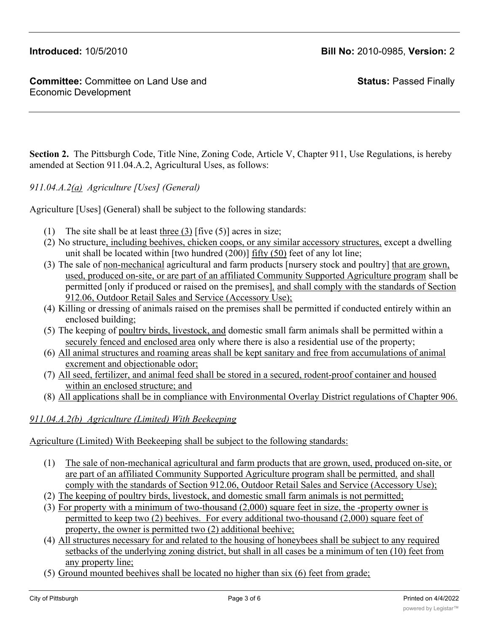**Committee:** Committee on Land Use and Economic Development

**Status:** Passed Finally

**Section 2.** The Pittsburgh Code, Title Nine, Zoning Code, Article V, Chapter 911, Use Regulations, is hereby amended at Section 911.04.A.2, Agricultural Uses, as follows:

*911.04.A.2(a) Agriculture [Uses] (General)*

Agriculture [Uses] (General) shall be subject to the following standards:

- (1) The site shall be at least three  $(3)$  [five  $(5)$ ] acres in size;
- (2) No structure, including beehives, chicken coops, or any similar accessory structures, except a dwelling unit shall be located within [two hundred  $(200)$ ]  $\underline{fifty(50)}$  feet of any lot line;
- (3) The sale of non-mechanical agricultural and farm products [nursery stock and poultry] that are grown, used, produced on-site, or are part of an affiliated Community Supported Agriculture program shall be permitted [only if produced or raised on the premises]*,* and shall comply with the standards of Section 912.06, Outdoor Retail Sales and Service (Accessory Use);
- (4) Killing or dressing of animals raised on the premises shall be permitted if conducted entirely within an enclosed building;
- (5) The keeping of poultry birds, livestock, and domestic small farm animals shall be permitted within a securely fenced and enclosed area only where there is also a residential use of the property;
- (6) All animal structures and roaming areas shall be kept sanitary and free from accumulations of animal excrement and objectionable odor;
- (7) All seed, fertilizer, and animal feed shall be stored in a secured, rodent-proof container and housed within an enclosed structure; and
- (8) All applications shall be in compliance with Environmental Overlay District regulations of Chapter 906.

### *911.04.A.2(b) Agriculture (Limited) With Beekeeping*

Agriculture (Limited) With Beekeeping shall be subject to the following standards:

- (1) The sale of non-mechanical agricultural and farm products that are grown, used, produced on-site, or are part of an affiliated Community Supported Agriculture program shall be permitted*,* and shall comply with the standards of Section 912.06, Outdoor Retail Sales and Service (Accessory Use);
- (2) The keeping of poultry birds, livestock, and domestic small farm animals is not permitted;
- (3) For property with a minimum of two-thousand (2,000) square feet in size, the -property owner is permitted to keep two (2) beehives. For every additional two-thousand (2,000) square feet of property, the owner is permitted two (2) additional beehive;
- (4) All structures necessary for and related to the housing of honeybees shall be subject to any required setbacks of the underlying zoning district, but shall in all cases be a minimum of ten (10) feet from any property line;
- (5) Ground mounted beehives shall be located no higher than six (6) feet from grade;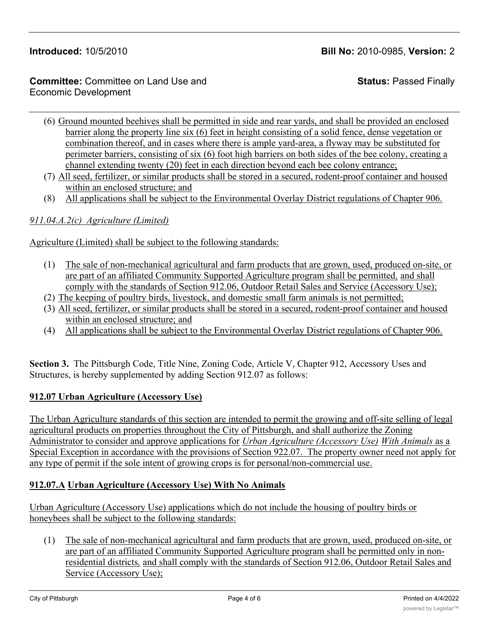# **Introduced:** 10/5/2010 **Bill No:** 2010-0985, **Version:** 2

### **Committee:** Committee on Land Use and Economic Development

**Status:** Passed Finally

- (6) Ground mounted beehives shall be permitted in side and rear yards, and shall be provided an enclosed barrier along the property line six (6) feet in height consisting of a solid fence, dense vegetation or combination thereof, and in cases where there is ample yard-area, a flyway may be substituted for perimeter barriers, consisting of six (6) foot high barriers on both sides of the bee colony, creating a channel extending twenty (20) feet in each direction beyond each bee colony entrance;
- (7) All seed, fertilizer, or similar products shall be stored in a secured, rodent-proof container and housed within an enclosed structure; and
- (8) All applications shall be subject to the Environmental Overlay District regulations of Chapter 906.

### *911.04.A.2(c) Agriculture (Limited)*

Agriculture (Limited) shall be subject to the following standards:

- (1) The sale of non-mechanical agricultural and farm products that are grown, used, produced on-site, or are part of an affiliated Community Supported Agriculture program shall be permitted*,* and shall comply with the standards of Section 912.06, Outdoor Retail Sales and Service (Accessory Use);
- (2) The keeping of poultry birds, livestock, and domestic small farm animals is not permitted;
- (3) All seed, fertilizer, or similar products shall be stored in a secured, rodent-proof container and housed within an enclosed structure; and
- (4) All applications shall be subject to the Environmental Overlay District regulations of Chapter 906.

**Section 3.** The Pittsburgh Code, Title Nine, Zoning Code, Article V, Chapter 912, Accessory Uses and Structures, is hereby supplemented by adding Section 912.07 as follows:

### **912.07 Urban Agriculture (Accessory Use)**

The Urban Agriculture standards of this section are intended to permit the growing and off-site selling of legal agricultural products on properties throughout the City of Pittsburgh, and shall authorize the Zoning Administrator to consider and approve applications for *Urban Agriculture (Accessory Use) With Animals* as a Special Exception in accordance with the provisions of Section 922.07. The property owner need not apply for any type of permit if the sole intent of growing crops is for personal/non-commercial use.

### **912.07.A Urban Agriculture (Accessory Use) With No Animals**

Urban Agriculture (Accessory Use) applications which do not include the housing of poultry birds or honeybees shall be subject to the following standards:

(1) The sale of non-mechanical agricultural and farm products that are grown, used, produced on-site, or are part of an affiliated Community Supported Agriculture program shall be permitted only in nonresidential districts*,* and shall comply with the standards of Section 912.06, Outdoor Retail Sales and Service (Accessory Use);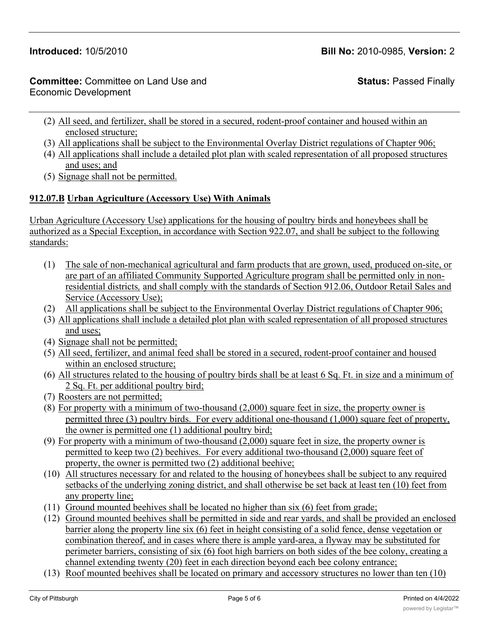**Committee:** Committee on Land Use and Economic Development

**Status:** Passed Finally

- (2) All seed, and fertilizer, shall be stored in a secured, rodent-proof container and housed within an enclosed structure;
- (3) All applications shall be subject to the Environmental Overlay District regulations of Chapter 906;
- (4) All applications shall include a detailed plot plan with scaled representation of all proposed structures and uses; and
- (5) Signage shall not be permitted.

## **912.07.B Urban Agriculture (Accessory Use) With Animals**

Urban Agriculture (Accessory Use) applications for the housing of poultry birds and honeybees shall be authorized as a Special Exception, in accordance with Section 922.07, and shall be subject to the following standards:

- (1) The sale of non-mechanical agricultural and farm products that are grown, used, produced on-site, or are part of an affiliated Community Supported Agriculture program shall be permitted only in nonresidential districts*,* and shall comply with the standards of Section 912.06, Outdoor Retail Sales and Service (Accessory Use);
- (2) All applications shall be subject to the Environmental Overlay District regulations of Chapter 906;
- (3) All applications shall include a detailed plot plan with scaled representation of all proposed structures and uses;
- (4) Signage shall not be permitted;
- (5) All seed, fertilizer, and animal feed shall be stored in a secured, rodent-proof container and housed within an enclosed structure;
- (6) All structures related to the housing of poultry birds shall be at least 6 Sq. Ft. in size and a minimum of 2 Sq. Ft. per additional poultry bird;
- (7) Roosters are not permitted;
- (8) For property with a minimum of two-thousand (2,000) square feet in size, the property owner is permitted three (3) poultry birds. For every additional one-thousand (1,000) square feet of property, the owner is permitted one (1) additional poultry bird;
- (9) For property with a minimum of two-thousand (2,000) square feet in size, the property owner is permitted to keep two (2) beehives. For every additional two-thousand (2,000) square feet of property, the owner is permitted two (2) additional beehive;
- (10) All structures necessary for and related to the housing of honeybees shall be subject to any required setbacks of the underlying zoning district, and shall otherwise be set back at least ten (10) feet from any property line;
- (11) Ground mounted beehives shall be located no higher than six (6) feet from grade;
- (12) Ground mounted beehives shall be permitted in side and rear yards, and shall be provided an enclosed barrier along the property line six (6) feet in height consisting of a solid fence, dense vegetation or combination thereof, and in cases where there is ample yard-area, a flyway may be substituted for perimeter barriers, consisting of six (6) foot high barriers on both sides of the bee colony, creating a channel extending twenty (20) feet in each direction beyond each bee colony entrance;
- (13) Roof mounted beehives shall be located on primary and accessory structures no lower than ten (10)